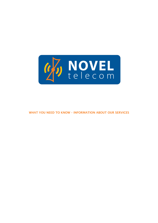

WHAT YOU NEED TO KNOW – INFORMATION ABOUT OUR SERVICES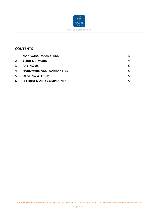

# **CONTENTS**

| $\mathbf{1}$ | <b>MANAGING YOUR SPEND</b>     | 3 |
|--------------|--------------------------------|---|
| $2^{\circ}$  | <b>YOUR NETWORK</b>            | 4 |
| 3            | <b>PAYING US</b>               |   |
| 4            | <b>HARDWARE AND WARRANTIES</b> |   |
| 5.           | <b>DEALING WITH US</b>         |   |
| 6            | <b>FEEDBACK AND COMPLAINTS</b> |   |

42 Ross Street, Dandenong VIC 3175 Call Us: 1300 317 517 ABN: 76 616 058 130 Email Us: info@noveltelecom.com.au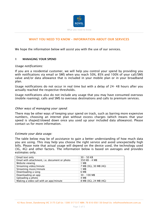

## WHAT YOU NEED TO KNOW – INFORMATION ABOUT OUR SERVICES

We hope the information below will assist you with the use of our services.

#### 1 MANAGING YOUR SPEND

#### *Usage notifications:*

If you are a residential customer, we will help you control your spend by providing you with notifications via email or SMS when you reach 50%, 85% and 100% of your call/SMS value and/or data allowance that is included in your mobile plan or in your broadband plan.

Usage notifications do not occur in real time but with a delay of 24- 48 hours after you actually reached the respective thresholds.

Usage notifications also do not include any usage that you may have consumed overseas (mobile roaming), calls and SMS to overseas destinations and calls to premium services.

#### *Other ways of managing your spend:*

There may be other ways of keeping your spend on track, such as barring more expensive numbers, choosing an internet plan without excess charges (which means that your speed is shaped/slowed down once you used up your included data allowance). Please contact us for more information.

#### *Estimate your data usage:*

The table below may be of assistance to gain a better understanding of how much data you are using. This may help you choose the right service and avoid unexpectedly high bills. Please note that actual usage will depend on the device used, the technology used (3G, 4G) and other factors. The information below is based on averages and provides estimates only.

| Email text only                               | $30 - 50$ KB          |
|-----------------------------------------------|-----------------------|
| Email with attachment, i.e. document or photo | 350 KB - 4 MB         |
| Website viewing                               | 1 MB                  |
| Streaming video/minute                        | 7 MB (3G), 30 MB (4G) |
| Streaming music/minute                        | 1 MB                  |
| Downloading a song                            | 6 MB                  |
| Downloading an app                            | $30 - 100$ MB         |
| Uploading a photo                             | 4 MB                  |
| Making a video call with an app/minute        | 8 MB (3G), 24 MB (4G) |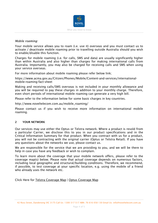

#### *Mobile roaming:*

Your mobile service allows you to roam (i.e. use it) overseas and you must contact us to activate / deactivate mobile roaming prior to travelling outside Australia should you wish to enable/disable this function.

Charges for mobile roaming (i.e. for calls, SMS and data) are usually significantly higher than within Australia and also higher than charges for making international calls from Australia. Importantly, you may also be charged for receiving calls and SMS when using your service overseas.

For more information about mobile roaming please refer below link;

https://www.acma.gov.au/Citizen/Phones/Mobile/Content-and-services/internationalmobile-roaming-fact-sheet

Making and receiving calls/SMS overseas is not included in your monthly allowance and you will be required to pay these charges in addition to your monthly charge. Therefore, even short periods of international mobile roaming can generate a very high bill.

Please refer to the information below for some basic charges in key countries.

http://www.noveltelecom.com.au/mobile\_roaming/

Please contact us if you wish to receive more information on international mobile roaming.

#### 2 YOUR NETWORK

Our services may use either the Optus or Telstra network. Where a product is resold from a particular Carrier, we disclose this to you in our product specifications and in the Critical Information Summary for that product. When you contract with us for a product, you will not be contracting with the original carrier (Optus or Telstra Retail). If you have any questions about the networks we use, please contact us.

We are responsible for the service that we are providing to you, and we will be there to help in case you have any feedback or wish to complain.

To learn more about the coverage that your mobile network offers, please refer to the coverage map(s) below. Please note that actual coverage depends on numerous factors, including local geographic and structural/building conditions. Therefore, we recommend, if possible, to test coverage at your specific location, e.g. using the mobile of a friend who already uses the network etc.

Click Here for Telstra Coverage Map | Optus Coverage Map

<sup>42</sup> Ross Street, Dandenong VIC 3175 Call Us: 1300 317 517 ABN: 76 616 058 130 Email Us: info@noveltelecom.com.au